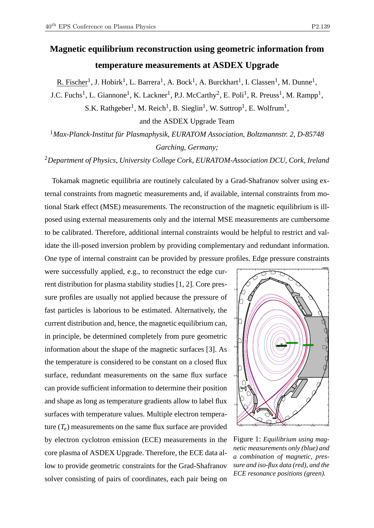R. Fischer<sup>1</sup>, J. Hobirk<sup>1</sup>, L. Barrera<sup>1</sup>, A. Bock<sup>1</sup>, A. Burckhart<sup>1</sup>, I. Classen<sup>1</sup>, M. Dunne<sup>1</sup>,

J.C. Fuchs<sup>1</sup>, L. Giannone<sup>1</sup>, K. Lackner<sup>1</sup>, P.J. McCarthy<sup>2</sup>, E. Poli<sup>1</sup>, R. Preuss<sup>1</sup>, M. Rampp<sup>1</sup>,

S.K. Rathgeber<sup>1</sup>, M. Reich<sup>1</sup>, B. Sieglin<sup>1</sup>, W. Suttrop<sup>1</sup>, E. Wolfrum<sup>1</sup>,

and the ASDEX Upgrade Team

<sup>1</sup>*Max-Planck-Institut für Plasmaphysik, EURATOM Association, Boltzmannstr. 2, D-85748 Garching, Germany;*

<sup>2</sup>*Department of Physics, University College Cork, EURATOM-Association DCU, Cork, Ireland*

Tokamak magnetic equilibria are routinely calculated by a Grad-Shafranov solver using external constraints from magnetic measurements and, if available, internal constraints from motional Stark effect (MSE) measurements. The reconstruction of the magnetic equilibrium is illposed using external measurements only and the internal MSE measurements are cumbersome to be calibrated. Therefore, additional internal constraints would be helpful to restrict and validate the ill-posed inversion problem by providing complementary and redundant information. One type of internal constraint can be provided by pressure profiles. Edge pressure constraints

were successfully applied, e.g., to reconstruct the edge current distribution for plasma stability studies [1, 2]. Core pressure profiles are usually not applied because the pressure of fast particles is laborious to be estimated. Alternatively, the current distribution and, hence, the magnetic equilibrium can, in principle, be determined completely from pure geometric information about the shape of the magnetic surfaces [3]. As the temperature is considered to be constant on a closed flux surface, redundant measurements on the same flux surface can provide sufficient information to determine their position and shape as long as temperature gradients allow to label flux surfaces with temperature values. Multiple electron temperature  $(T_e)$  measurements on the same flux surface are provided by electron cyclotron emission (ECE) measurements in the core plasma of ASDEX Upgrade. Therefore, the ECE data allow to provide geometric constraints for the Grad-Shafranov solver consisting of pairs of coordinates, each pair being on



Figure 1: *Equilibrium using magnetic measurements only (blue) and a combination of magnetic, pressure and iso-flux data (red), and the ECE resonance positions (green).*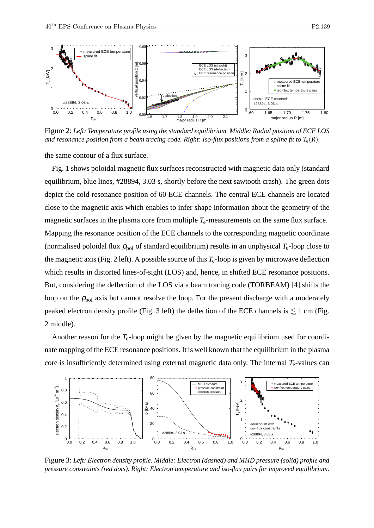o measured ECE temperature

spline fit

3





Figure 2: *Left: Temperature profile using the standard equilibrium. Middle: Radial position of ECE LOS and resonance position from a beam tracing code. Right: Iso-flux positions from a spline fit to*  $T_e(R)$ *.* 

the same contour of a flux surface.

Fig. 1 shows poloidal magnetic flux surfaces reconstructed with magnetic data only (standard equilibrium, blue lines, #28894, 3.03 s, shortly before the next sawtooth crash). The green dots depict the cold resonance position of 60 ECE channels. The central ECE channels are located close to the magnetic axis which enables to infer shape information about the geometry of the magnetic surfaces in the plasma core from multiple  $T_e$ -measurements on the same flux surface. Mapping the resonance position of the ECE channels to the corresponding magnetic coordinate (normalised poloidal flux  $\rho_{pol}$  of standard equilibrium) results in an unphysical  $T_e$ -loop close to the magnetic axis (Fig. 2 left). A possible source of this  $T_e$ -loop is given by microwave deflection which results in distorted lines-of-sight (LOS) and, hence, in shifted ECE resonance positions. But, considering the deflection of the LOS via a beam tracing code (TORBEAM) [4] shifts the loop on the  $\rho_{\text{pol}}$  axis but cannot resolve the loop. For the present discharge with a moderately peaked electron density profile (Fig. 3 left) the deflection of the ECE channels is  $\lesssim$  1 cm (Fig. 2 middle).

Another reason for the *T*e-loop might be given by the magnetic equilibrium used for coordinate mapping of the ECE resonance positions. It is well known that the equilibrium in the plasma core is insufficiently determined using external magnetic data only. The internal *T*<sub>e</sub>-values can



Figure 3: *Left: Electron density profile. Middle: Electron (dashed) and MHD pressure (solid) profile and pressure constraints (red dots). Right: Electron temperature and iso-flux pairs for improved equilibrium.*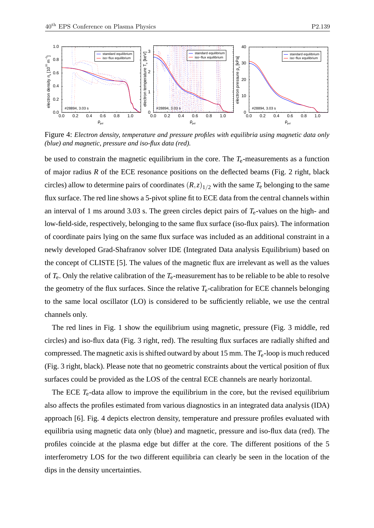

Figure 4: *Electron density, temperature and pressure profiles with equilibria using magnetic data only (blue) and magnetic, pressure and iso-flux data (red).*

be used to constrain the magnetic equilibrium in the core. The *T*e-measurements as a function of major radius *R* of the ECE resonance positions on the deflected beams (Fig. 2 right, black circles) allow to determine pairs of coordinates  $(R, z)_{1/2}$  with the same  $T_e$  belonging to the same flux surface. The red line shows a 5-pivot spline fit to ECE data from the central channels within an interval of 1 ms around 3.03 s. The green circles depict pairs of *T*e-values on the high- and low-field-side, respectively, belonging to the same flux surface (iso-flux pairs). The information of coordinate pairs lying on the same flux surface was included as an additional constraint in a newly developed Grad-Shafranov solver IDE (Integrated Data analysis Equilibrium) based on the concept of CLISTE [5]. The values of the magnetic flux are irrelevant as well as the values of *T*e. Only the relative calibration of the *T*e-measurement has to be reliable to be able to resolve the geometry of the flux surfaces. Since the relative *T*e-calibration for ECE channels belonging to the same local oscillator (LO) is considered to be sufficiently reliable, we use the central channels only.

The red lines in Fig. 1 show the equilibrium using magnetic, pressure (Fig. 3 middle, red circles) and iso-flux data (Fig. 3 right, red). The resulting flux surfaces are radially shifted and compressed. The magnetic axis is shifted outward by about 15 mm. The *T*e-loop is much reduced (Fig. 3 right, black). Please note that no geometric constraints about the vertical position of flux surfaces could be provided as the LOS of the central ECE channels are nearly horizontal.

The ECE  $T_e$ -data allow to improve the equilibrium in the core, but the revised equilibrium also affects the profiles estimated from various diagnostics in an integrated data analysis (IDA) approach [6]. Fig. 4 depicts electron density, temperature and pressure profiles evaluated with equilibria using magnetic data only (blue) and magnetic, pressure and iso-flux data (red). The profiles coincide at the plasma edge but differ at the core. The different positions of the 5 interferometry LOS for the two different equilibria can clearly be seen in the location of the dips in the density uncertainties.